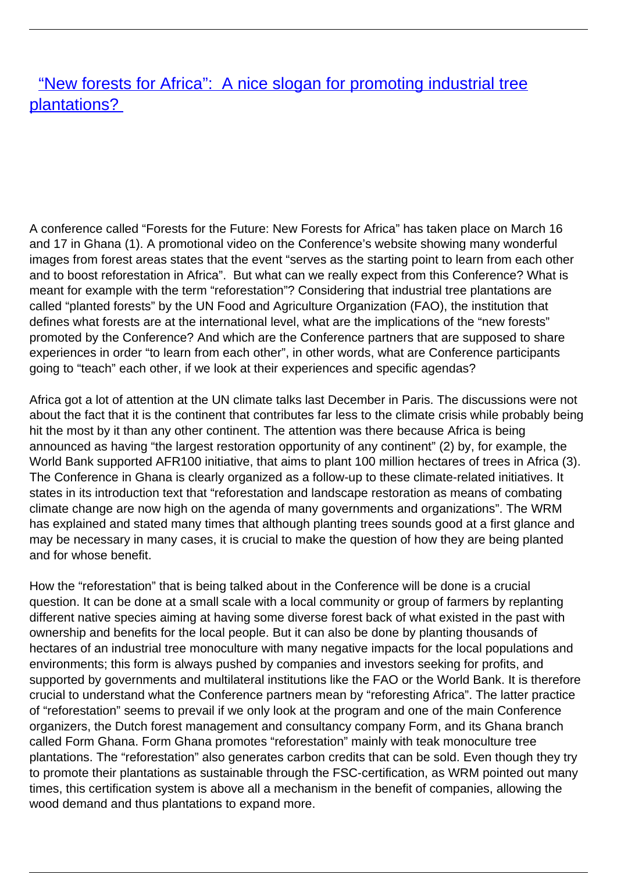["New forests for Africa": A nice slogan for promoting industrial tree](/bulletin-articles/new-forests-for-africa-a-nice-slogan-for-promoting-industrial-tree-plantations) [plantations?](/bulletin-articles/new-forests-for-africa-a-nice-slogan-for-promoting-industrial-tree-plantations)

A conference called "Forests for the Future: New Forests for Africa" has taken place on March 16 and 17 in Ghana (1). A promotional video on the Conference's website showing many wonderful images from forest areas states that the event "serves as the starting point to learn from each other and to boost reforestation in Africa". But what can we really expect from this Conference? What is meant for example with the term "reforestation"? Considering that industrial tree plantations are called "planted forests" by the UN Food and Agriculture Organization (FAO), the institution that defines what forests are at the international level, what are the implications of the "new forests" promoted by the Conference? And which are the Conference partners that are supposed to share experiences in order "to learn from each other", in other words, what are Conference participants going to "teach" each other, if we look at their experiences and specific agendas?

Africa got a lot of attention at the UN climate talks last December in Paris. The discussions were not about the fact that it is the continent that contributes far less to the climate crisis while probably being hit the most by it than any other continent. The attention was there because Africa is being announced as having "the largest restoration opportunity of any continent" (2) by, for example, the World Bank supported AFR100 initiative, that aims to plant 100 million hectares of trees in Africa (3). The Conference in Ghana is clearly organized as a follow-up to these climate-related initiatives. It states in its introduction text that "reforestation and landscape restoration as means of combating climate change are now high on the agenda of many governments and organizations". The WRM has explained and stated many times that although planting trees sounds good at a first glance and may be necessary in many cases, it is crucial to make the question of how they are being planted and for whose benefit.

How the "reforestation" that is being talked about in the Conference will be done is a crucial question. It can be done at a small scale with a local community or group of farmers by replanting different native species aiming at having some diverse forest back of what existed in the past with ownership and benefits for the local people. But it can also be done by planting thousands of hectares of an industrial tree monoculture with many negative impacts for the local populations and environments; this form is always pushed by companies and investors seeking for profits, and supported by governments and multilateral institutions like the FAO or the World Bank. It is therefore crucial to understand what the Conference partners mean by "reforesting Africa". The latter practice of "reforestation" seems to prevail if we only look at the program and one of the main Conference organizers, the Dutch forest management and consultancy company Form, and its Ghana branch called Form Ghana. Form Ghana promotes "reforestation" mainly with teak monoculture tree plantations. The "reforestation" also generates carbon credits that can be sold. Even though they try to promote their plantations as sustainable through the FSC-certification, as WRM pointed out many times, this certification system is above all a mechanism in the benefit of companies, allowing the wood demand and thus plantations to expand more.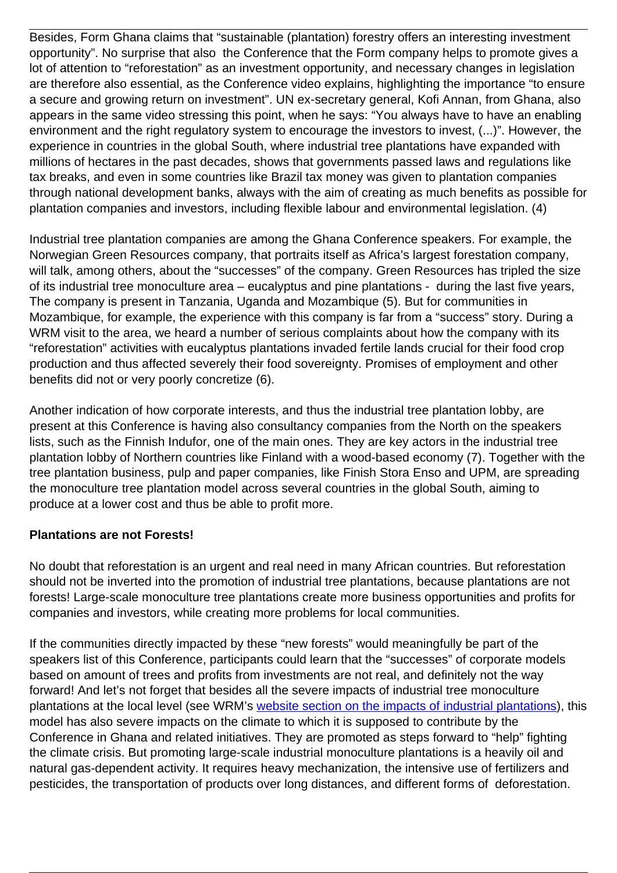Besides, Form Ghana claims that "sustainable (plantation) forestry offers an interesting investment opportunity". No surprise that also the Conference that the Form company helps to promote gives a lot of attention to "reforestation" as an investment opportunity, and necessary changes in legislation are therefore also essential, as the Conference video explains, highlighting the importance "to ensure a secure and growing return on investment". UN ex-secretary general, Kofi Annan, from Ghana, also appears in the same video stressing this point, when he says: "You always have to have an enabling environment and the right regulatory system to encourage the investors to invest, (...)". However, the experience in countries in the global South, where industrial tree plantations have expanded with millions of hectares in the past decades, shows that governments passed laws and regulations like tax breaks, and even in some countries like Brazil tax money was given to plantation companies through national development banks, always with the aim of creating as much benefits as possible for plantation companies and investors, including flexible labour and environmental legislation. (4)

Industrial tree plantation companies are among the Ghana Conference speakers. For example, the Norwegian Green Resources company, that portraits itself as Africa's largest forestation company, will talk, among others, about the "successes" of the company. Green Resources has tripled the size of its industrial tree monoculture area – eucalyptus and pine plantations - during the last five years, The company is present in Tanzania, Uganda and Mozambique (5). But for communities in Mozambique, for example, the experience with this company is far from a "success" story. During a WRM visit to the area, we heard a number of serious complaints about how the company with its "reforestation" activities with eucalyptus plantations invaded fertile lands crucial for their food crop production and thus affected severely their food sovereignty. Promises of employment and other benefits did not or very poorly concretize (6).

Another indication of how corporate interests, and thus the industrial tree plantation lobby, are present at this Conference is having also consultancy companies from the North on the speakers lists, such as the Finnish Indufor, one of the main ones. They are key actors in the industrial tree plantation lobby of Northern countries like Finland with a wood-based economy (7). Together with the tree plantation business, pulp and paper companies, like Finish Stora Enso and UPM, are spreading the monoculture tree plantation model across several countries in the global South, aiming to produce at a lower cost and thus be able to profit more.

## **Plantations are not Forests!**

No doubt that reforestation is an urgent and real need in many African countries. But reforestation should not be inverted into the promotion of industrial tree plantations, because plantations are not forests! Large-scale monoculture tree plantations create more business opportunities and profits for companies and investors, while creating more problems for local communities.

If the communities directly impacted by these "new forests" would meaningfully be part of the speakers list of this Conference, participants could learn that the "successes" of corporate models based on amount of trees and profits from investments are not real, and definitely not the way forward! And let's not forget that besides all the severe impacts of industrial tree monoculture plantations at the local level (see WRM's [website section on the impacts of industrial plantations](http://wrm.us9.list-manage.com/track/click?u=f91b651f7fecdf835b57dc11d&id=3f6afb820c&e=f40107181e)), this model has also severe impacts on the climate to which it is supposed to contribute by the Conference in Ghana and related initiatives. They are promoted as steps forward to "help" fighting the climate crisis. But promoting large-scale industrial monoculture plantations is a heavily oil and natural gas-dependent activity. It requires heavy mechanization, the intensive use of fertilizers and pesticides, the transportation of products over long distances, and different forms of deforestation.